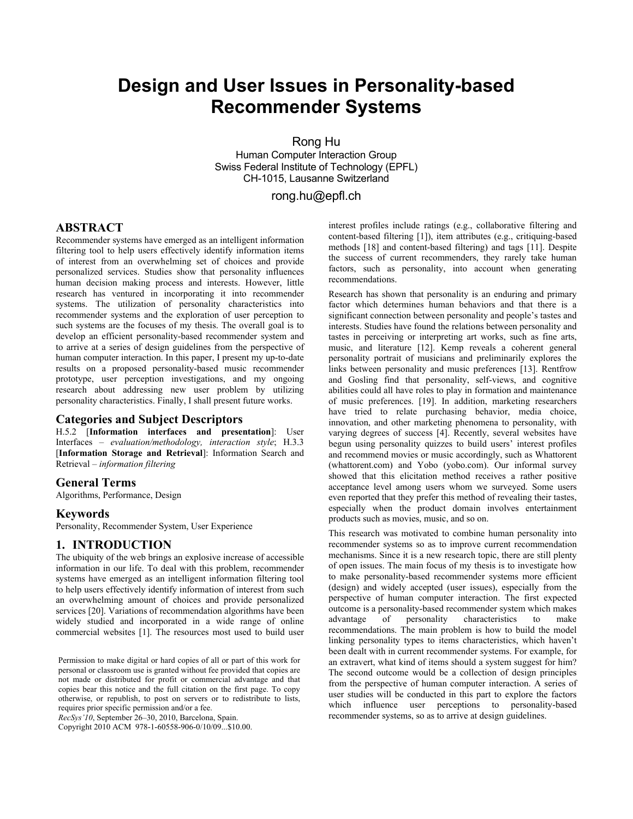# **Design and User Issues in Personality-based Recommender Systems**

Rong Hu

Human Computer Interaction Group Swiss Federal Institute of Technology (EPFL) CH-1015, Lausanne Switzerland

rong.hu@epfl.ch

# **ABSTRACT**

Recommender systems have emerged as an intelligent information filtering tool to help users effectively identify information items of interest from an overwhelming set of choices and provide personalized services. Studies show that personality influences human decision making process and interests. However, little research has ventured in incorporating it into recommender systems. The utilization of personality characteristics into recommender systems and the exploration of user perception to such systems are the focuses of my thesis. The overall goal is to develop an efficient personality-based recommender system and to arrive at a series of design guidelines from the perspective of human computer interaction. In this paper, I present my up-to-date results on a proposed personality-based music recommender prototype, user perception investigations, and my ongoing research about addressing new user problem by utilizing personality characteristics. Finally, I shall present future works.

#### **Categories and Subject Descriptors**

H.5.2 [**Information interfaces and presentation**]: User Interfaces – *evaluation/methodology, interaction style*; H.3.3 [**Information Storage and Retrieval**]: Information Search and Retrieval – *information filtering*

#### **General Terms**

Algorithms, Performance, Design

#### **Keywords**

Personality, Recommender System, User Experience

# **1. INTRODUCTION**

The ubiquity of the web brings an explosive increase of accessible information in our life. To deal with this problem, recommender systems have emerged as an intelligent information filtering tool to help users effectively identify information of interest from such an overwhelming amount of choices and provide personalized services [20]. Variations of recommendation algorithms have been widely studied and incorporated in a wide range of online commercial websites [1]. The resources most used to build user

Permission to make digital or hard copies of all or part of this work for personal or classroom use is granted without fee provided that copies are not made or distributed for profit or commercial advantage and that copies bear this notice and the full citation on the first page. To copy otherwise, or republish, to post on servers or to redistribute to lists, requires prior specific permission and/or a fee.

*RecSys'10*, September 26–30, 2010, Barcelona, Spain.

Copyright 2010 ACM 978-1-60558-906-0/10/09...\$10.00.

interest profiles include ratings (e.g., collaborative filtering and content-based filtering [1]), item attributes (e.g., critiquing-based methods [18] and content-based filtering) and tags [11]. Despite the success of current recommenders, they rarely take human factors, such as personality, into account when generating recommendations.

Research has shown that personality is an enduring and primary factor which determines human behaviors and that there is a significant connection between personality and people's tastes and interests. Studies have found the relations between personality and tastes in perceiving or interpreting art works, such as fine arts, music, and literature [12]. Kemp reveals a coherent general personality portrait of musicians and preliminarily explores the links between personality and music preferences [13]. Rentfrow and Gosling find that personality, self-views, and cognitive abilities could all have roles to play in formation and maintenance of music preferences. [19]. In addition, marketing researchers have tried to relate purchasing behavior, media choice, innovation, and other marketing phenomena to personality, with varying degrees of success [4]. Recently, several websites have begun using personality quizzes to build users' interest profiles and recommend movies or music accordingly, such as Whattorent (whattorent.com) and Yobo (yobo.com). Our informal survey showed that this elicitation method receives a rather positive acceptance level among users whom we surveyed. Some users even reported that they prefer this method of revealing their tastes, especially when the product domain involves entertainment products such as movies, music, and so on.

This research was motivated to combine human personality into recommender systems so as to improve current recommendation mechanisms. Since it is a new research topic, there are still plenty of open issues. The main focus of my thesis is to investigate how to make personality-based recommender systems more efficient (design) and widely accepted (user issues), especially from the perspective of human computer interaction. The first expected outcome is a personality-based recommender system which makes advantage of personality characteristics to make recommendations. The main problem is how to build the model linking personality types to items characteristics, which haven't been dealt with in current recommender systems. For example, for an extravert, what kind of items should a system suggest for him? The second outcome would be a collection of design principles from the perspective of human computer interaction. A series of user studies will be conducted in this part to explore the factors which influence user perceptions to personality-based recommender systems, so as to arrive at design guidelines.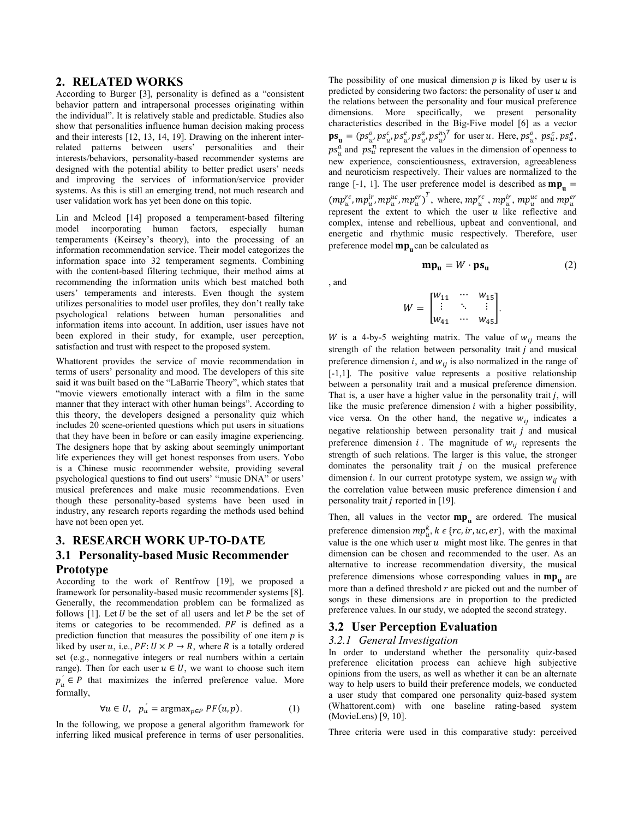#### **2. RELATED WORKS**

According to Burger [3], personality is defined as a "consistent behavior pattern and intrapersonal processes originating within the individual". It is relatively stable and predictable. Studies also show that personalities influence human decision making process and their interests [12, 13, 14, 19]. Drawing on the inherent interrelated patterns between users' personalities and their interests/behaviors, personality-based recommender systems are designed with the potential ability to better predict users' needs and improving the services of information/service provider systems. As this is still an emerging trend, not much research and user validation work has yet been done on this topic.

Lin and Mcleod [14] proposed a temperament-based filtering model incorporating human factors, especially human temperaments (Keirsey's theory), into the processing of an information recommendation service. Their model categorizes the information space into 32 temperament segments. Combining with the content-based filtering technique, their method aims at recommending the information units which best matched both users' temperaments and interests. Even though the system utilizes personalities to model user profiles, they don't really take psychological relations between human personalities and information items into account. In addition, user issues have not been explored in their study, for example, user perception, satisfaction and trust with respect to the proposed system.

Whattorent provides the service of movie recommendation in terms of users' personality and mood. The developers of this site said it was built based on the "LaBarrie Theory", which states that "movie viewers emotionally interact with a film in the same manner that they interact with other human beings". According to this theory, the developers designed a personality quiz which includes 20 scene-oriented questions which put users in situations that they have been in before or can easily imagine experiencing. The designers hope that by asking about seemingly unimportant life experiences they will get honest responses from users. Yobo is a Chinese music recommender website, providing several psychological questions to find out users' "music DNA" or users' musical preferences and make music recommendations. Even though these personality-based systems have been used in industry, any research reports regarding the methods used behind have not been open yet.

# **3. RESEARCH WORK UP-TO-DATE 3.1 Personality-based Music Recommender Prototype**

According to the work of Rentfrow [19], we proposed a framework for personality-based music recommender systems [8]. Generally, the recommendation problem can be formalized as follows  $[1]$ . Let U be the set of all users and let P be the set of items or categories to be recommended.  $PF$  is defined as a prediction function that measures the possibility of one item  $p$  is liked by user u, i.e.,  $PF: U \times P \rightarrow R$ , where R is a totally ordered set (e.g., nonnegative integers or real numbers within a certain range). Then for each user  $u \in U$ , we want to choose such item  $p_u^{\prime} \in P$  that maximizes the inferred preference value. More formally,

$$
\forall u \in U, \quad p_u = \text{argmax}_{p \in P} \, PF(u, p). \tag{1}
$$

In the following, we propose a general algorithm framework for inferring liked musical preference in terms of user personalities. The possibility of one musical dimension  $p$  is liked by user  $u$  is predicted by considering two factors: the personality of user  $u$  and the relations between the personality and four musical preference dimensions. More specifically, we present personality characteristics described in the Big-Five model [6] as a vector  $\mathbf{ps}_{\mathbf{u}} = (ps_{u}^o, ps_{u}^c, ps_{u}^e, ps_{u}^a, ps_{u}^n)^T$  for user u. Here,  $ps_{u}^o, ps_{u}^c, ps_{u}^e,$  $ps_u^a$  and  $ps_u^n$  represent the values in the dimension of openness to new experience, conscientiousness, extraversion, agreeableness and neuroticism respectively. Their values are normalized to the range  $[-1, 1]$ . The user preference model is described as  $mp_0 =$  $(mp_u^{rc}, mp_u^{ir}, mp_u^{uc}, mp_u^{er})^T$ , where,  $mp_u^{rc}, mp_u^{ir}, mp_u^{uc}$  and  $mp_u^{er}$ represent the extent to which the user  $u$  like reflective and complex, intense and rebellious, upbeat and conventional, and energetic and rhythmic music respectively. Therefore, user preference model  $mp<sub>n</sub>$ can be calculated as

$$
mp_u = W \cdot ps_u \tag{2}
$$

, and

$$
W = \begin{bmatrix} w_{11} & \cdots & w_{15} \\ \vdots & \ddots & \vdots \\ w_{41} & \cdots & w_{45} \end{bmatrix}.
$$

W is a 4-by-5 weighting matrix. The value of  $w_{ij}$  means the strength of the relation between personality trait  $j$  and musical preference dimension  $i$ , and  $w_{ij}$  is also normalized in the range of [-1,1]. The positive value represents a positive relationship between a personality trait and a musical preference dimension. That is, a user have a higher value in the personality trait  $j$ , will like the music preference dimension  $i$  with a higher possibility, vice versa. On the other hand, the negative  $w_{ij}$  indicates a negative relationship between personality trait  $j$  and musical preference dimension  $i$ . The magnitude of  $w_{ij}$  represents the strength of such relations. The larger is this value, the stronger dominates the personality trait  $j$  on the musical preference dimension *i*. In our current prototype system, we assign  $w_{ij}$  with the correlation value between music preference dimension  $i$  and personality trait  $j$  reported in [19].

Then, all values in the vector  $mp_u$  are ordered. The musical preference dimension  $mp_u^k$ ,  $k \in \{rc, ir, uc, er\}$ , with the maximal value is the one which user  $u$  might most like. The genres in that dimension can be chosen and recommended to the user. As an alternative to increase recommendation diversity, the musical preference dimensions whose corresponding values in  $mp_$  are more than a defined threshold  $r$  are picked out and the number of songs in these dimensions are in proportion to the predicted preference values. In our study, we adopted the second strategy.

#### **3.2 User Perception Evaluation**

#### *3.2.1 General Investigation*

In order to understand whether the personality quiz-based preference elicitation process can achieve high subjective opinions from the users, as well as whether it can be an alternate way to help users to build their preference models, we conducted a user study that compared one personality quiz-based system (Whattorent.com) with one baseline rating-based system (MovieLens) [9, 10].

Three criteria were used in this comparative study: perceived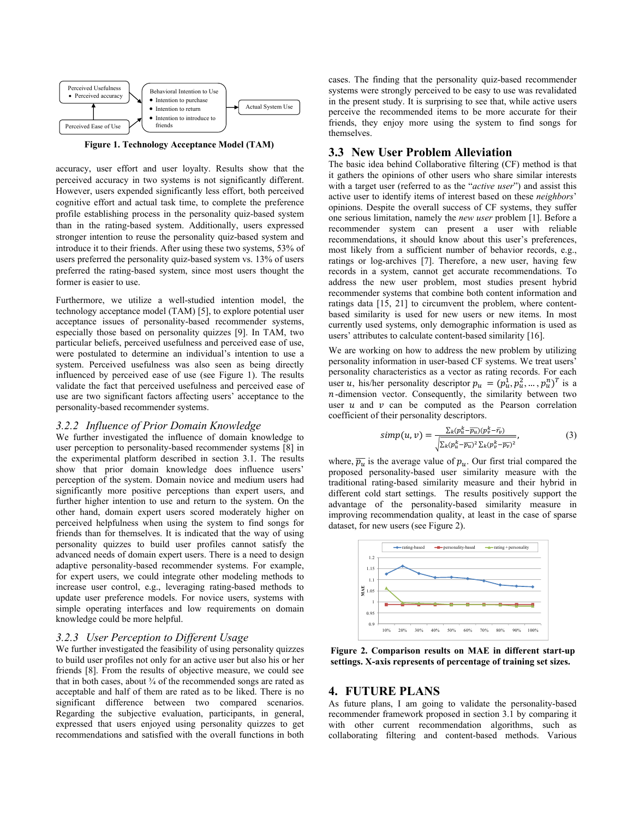

**Figure 1. Technology Acceptance Model (TAM)** 

accuracy, user effort and user loyalty. Results show that the perceived accuracy in two systems is not significantly different. However, users expended significantly less effort, both perceived cognitive effort and actual task time, to complete the preference profile establishing process in the personality quiz-based system than in the rating-based system. Additionally, users expressed stronger intention to reuse the personality quiz-based system and introduce it to their friends. After using these two systems, 53% of users preferred the personality quiz-based system vs. 13% of users preferred the rating-based system, since most users thought the former is easier to use.

Furthermore, we utilize a well-studied intention model, the technology acceptance model (TAM) [5], to explore potential user acceptance issues of personality-based recommender systems, especially those based on personality quizzes [9]. In TAM, two particular beliefs, perceived usefulness and perceived ease of use, were postulated to determine an individual's intention to use a system. Perceived usefulness was also seen as being directly influenced by perceived ease of use (see Figure 1). The results validate the fact that perceived usefulness and perceived ease of use are two significant factors affecting users' acceptance to the personality-based recommender systems.

#### *3.2.2 Influence of Prior Domain Knowledge*

We further investigated the influence of domain knowledge to user perception to personality-based recommender systems [8] in the experimental platform described in section 3.1. The results show that prior domain knowledge does influence users' perception of the system. Domain novice and medium users had significantly more positive perceptions than expert users, and further higher intention to use and return to the system. On the other hand, domain expert users scored moderately higher on perceived helpfulness when using the system to find songs for friends than for themselves. It is indicated that the way of using personality quizzes to build user profiles cannot satisfy the advanced needs of domain expert users. There is a need to design adaptive personality-based recommender systems. For example, for expert users, we could integrate other modeling methods to increase user control, e.g., leveraging rating-based methods to update user preference models. For novice users, systems with simple operating interfaces and low requirements on domain knowledge could be more helpful.

#### *3.2.3 User Perception to Different Usage*

We further investigated the feasibility of using personality quizzes to build user profiles not only for an active user but also his or her friends [8]. From the results of objective measure, we could see that in both cases, about  $\frac{3}{4}$  of the recommended songs are rated as acceptable and half of them are rated as to be liked. There is no significant difference between two compared scenarios. Regarding the subjective evaluation, participants, in general, expressed that users enjoyed using personality quizzes to get recommendations and satisfied with the overall functions in both

cases. The finding that the personality quiz-based recommender systems were strongly perceived to be easy to use was revalidated in the present study. It is surprising to see that, while active users perceive the recommended items to be more accurate for their friends, they enjoy more using the system to find songs for themselves.

### **3.3 New User Problem Alleviation**

The basic idea behind Collaborative filtering (CF) method is that it gathers the opinions of other users who share similar interests with a target user (referred to as the "*active user*") and assist this active user to identify items of interest based on these *neighbors*' opinions. Despite the overall success of CF systems, they suffer one serious limitation, namely the *new user* problem [1]. Before a recommender system can present a user with reliable recommendations, it should know about this user's preferences, most likely from a sufficient number of behavior records, e.g., ratings or log-archives [7]. Therefore, a new user, having few records in a system, cannot get accurate recommendations. To address the new user problem, most studies present hybrid recommender systems that combine both content information and ratings data [15, 21] to circumvent the problem, where contentbased similarity is used for new users or new items. In most currently used systems, only demographic information is used as users' attributes to calculate content-based similarity [16].

We are working on how to address the new problem by utilizing personality information in user-based CF systems. We treat users' personality characteristics as a vector as rating records. For each user u, his/her personality descriptor  $p_u = (p_u^1, p_u^2, ..., p_u^n)^T$  is a  $n$ -dimension vector. Consequently, the similarity between two user  $u$  and  $v$  can be computed as the Pearson correlation coefficient of their personality descriptors.

$$
simp(u,v) = \frac{\sum_{k}(p_u^k - \overline{p_u})(p_v^k - \overline{r_v})}{\sqrt{\sum_{k}(p_u^k - \overline{p_u})^2 \sum_{k}(p_v^k - \overline{p_v})^2}}\tag{3}
$$

where,  $\overline{p_u}$  is the average value of  $p_u$ . Our first trial compared the proposed personality-based user similarity measure with the traditional rating-based similarity measure and their hybrid in different cold start settings. The results positively support the advantage of the personality-based similarity measure in improving recommendation quality, at least in the case of sparse dataset, for new users (see Figure 2).



**Figure 2. Comparison results on MAE in different start-up settings. X-axis represents of percentage of training set sizes.**

#### **4. FUTURE PLANS**

As future plans, I am going to validate the personality-based recommender framework proposed in section 3.1 by comparing it with other current recommendation algorithms, such as collaborating filtering and content-based methods. Various